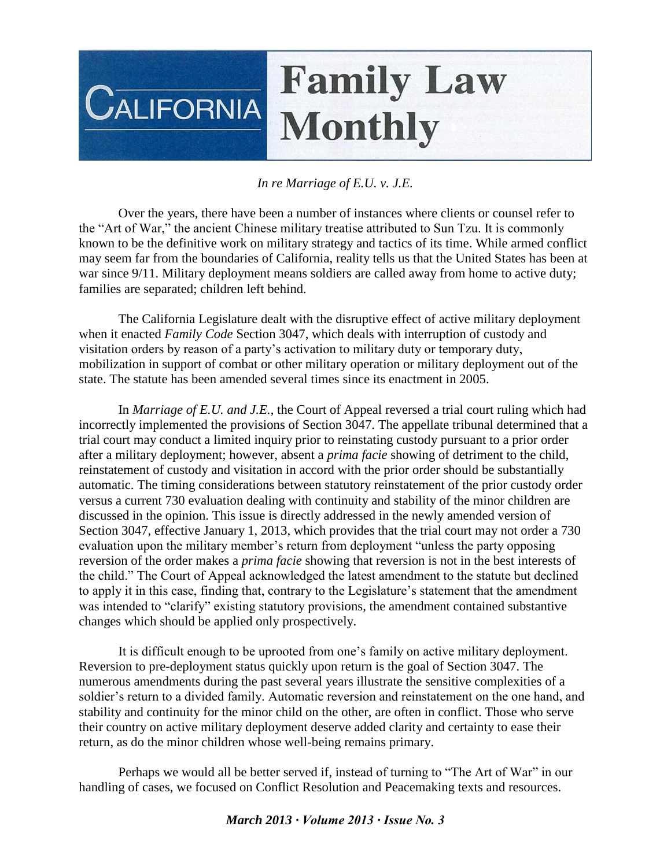## **Family Law CALIFORNIA Monthly**

## *In re Marriage of E.U. v. J.E.*

Over the years, there have been a number of instances where clients or counsel refer to the "Art of War," the ancient Chinese military treatise attributed to Sun Tzu. It is commonly known to be the definitive work on military strategy and tactics of its time. While armed conflict may seem far from the boundaries of California, reality tells us that the United States has been at war since 9/11. Military deployment means soldiers are called away from home to active duty; families are separated; children left behind.

The California Legislature dealt with the disruptive effect of active military deployment when it enacted *Family Code* Section 3047, which deals with interruption of custody and visitation orders by reason of a party's activation to military duty or temporary duty, mobilization in support of combat or other military operation or military deployment out of the state. The statute has been amended several times since its enactment in 2005.

In *Marriage of E.U. and J.E.*, the Court of Appeal reversed a trial court ruling which had incorrectly implemented the provisions of Section 3047. The appellate tribunal determined that a trial court may conduct a limited inquiry prior to reinstating custody pursuant to a prior order after a military deployment; however, absent a *prima facie* showing of detriment to the child, reinstatement of custody and visitation in accord with the prior order should be substantially automatic. The timing considerations between statutory reinstatement of the prior custody order versus a current 730 evaluation dealing with continuity and stability of the minor children are discussed in the opinion. This issue is directly addressed in the newly amended version of Section 3047, effective January 1, 2013, which provides that the trial court may not order a 730 evaluation upon the military member's return from deployment "unless the party opposing reversion of the order makes a *prima facie* showing that reversion is not in the best interests of the child." The Court of Appeal acknowledged the latest amendment to the statute but declined to apply it in this case, finding that, contrary to the Legislature's statement that the amendment was intended to "clarify" existing statutory provisions, the amendment contained substantive changes which should be applied only prospectively.

It is difficult enough to be uprooted from one's family on active military deployment. Reversion to pre-deployment status quickly upon return is the goal of Section 3047. The numerous amendments during the past several years illustrate the sensitive complexities of a soldier's return to a divided family. Automatic reversion and reinstatement on the one hand, and stability and continuity for the minor child on the other, are often in conflict. Those who serve their country on active military deployment deserve added clarity and certainty to ease their return, as do the minor children whose well-being remains primary.

Perhaps we would all be better served if, instead of turning to "The Art of War" in our handling of cases, we focused on Conflict Resolution and Peacemaking texts and resources.